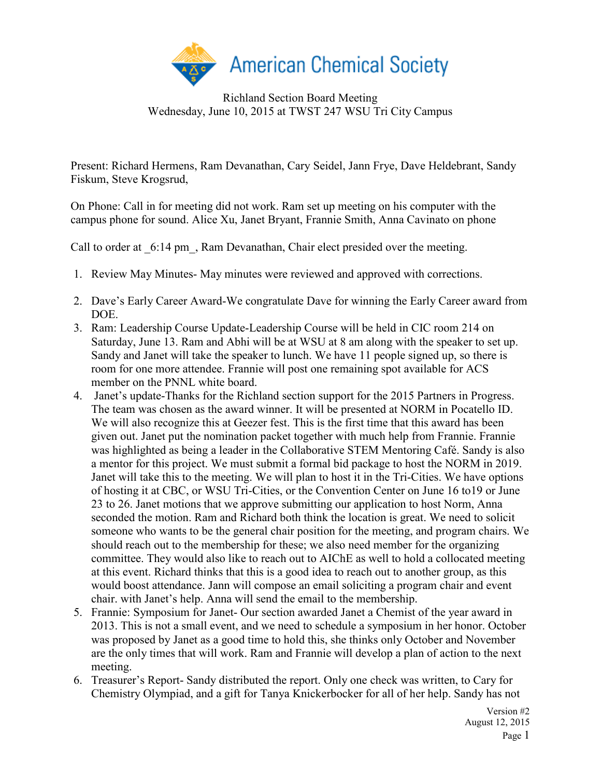

Richland Section Board Meeting Wednesday, June 10, 2015 at TWST 247 WSU Tri City Campus

Present: Richard Hermens, Ram Devanathan, Cary Seidel, Jann Frye, Dave Heldebrant, Sandy Fiskum, Steve Krogsrud,

On Phone: Call in for meeting did not work. Ram set up meeting on his computer with the campus phone for sound. Alice Xu, Janet Bryant, Frannie Smith, Anna Cavinato on phone

Call to order at  $6:14 \text{ pm}$ , Ram Devanathan, Chair elect presided over the meeting.

- 1. Review May Minutes- May minutes were reviewed and approved with corrections.
- 2. Dave's Early Career Award-We congratulate Dave for winning the Early Career award from DOE.
- 3. Ram: Leadership Course Update-Leadership Course will be held in CIC room 214 on Saturday, June 13. Ram and Abhi will be at WSU at 8 am along with the speaker to set up. Sandy and Janet will take the speaker to lunch. We have 11 people signed up, so there is room for one more attendee. Frannie will post one remaining spot available for ACS member on the PNNL white board.
- 4. Janet's update-Thanks for the Richland section support for the 2015 Partners in Progress. The team was chosen as the award winner. It will be presented at NORM in Pocatello ID. We will also recognize this at Geezer fest. This is the first time that this award has been given out. Janet put the nomination packet together with much help from Frannie. Frannie was highlighted as being a leader in the Collaborative STEM Mentoring Café. Sandy is also a mentor for this project. We must submit a formal bid package to host the NORM in 2019. Janet will take this to the meeting. We will plan to host it in the Tri-Cities. We have options of hosting it at CBC, or WSU Tri-Cities, or the Convention Center on June 16 to19 or June 23 to 26. Janet motions that we approve submitting our application to host Norm, Anna seconded the motion. Ram and Richard both think the location is great. We need to solicit someone who wants to be the general chair position for the meeting, and program chairs. We should reach out to the membership for these; we also need member for the organizing committee. They would also like to reach out to AIChE as well to hold a collocated meeting at this event. Richard thinks that this is a good idea to reach out to another group, as this would boost attendance. Jann will compose an email soliciting a program chair and event chair. with Janet's help. Anna will send the email to the membership.
- 5. Frannie: Symposium for Janet- Our section awarded Janet a Chemist of the year award in 2013. This is not a small event, and we need to schedule a symposium in her honor. October was proposed by Janet as a good time to hold this, she thinks only October and November are the only times that will work. Ram and Frannie will develop a plan of action to the next meeting.
- 6. Treasurer's Report- Sandy distributed the report. Only one check was written, to Cary for Chemistry Olympiad, and a gift for Tanya Knickerbocker for all of her help. Sandy has not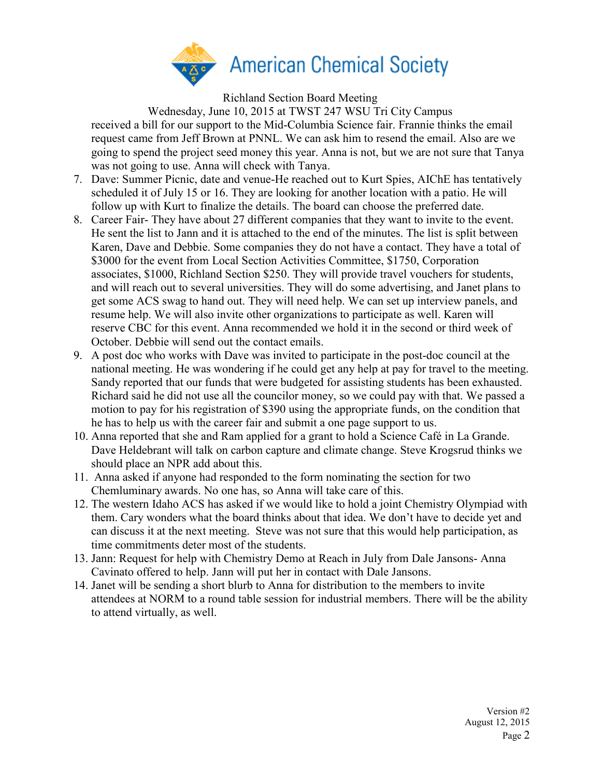

Richland Section Board Meeting

Wednesday, June 10, 2015 at TWST 247 WSU Tri City Campus received a bill for our support to the Mid-Columbia Science fair. Frannie thinks the email request came from Jeff Brown at PNNL. We can ask him to resend the email. Also are we going to spend the project seed money this year. Anna is not, but we are not sure that Tanya was not going to use. Anna will check with Tanya.

- 7. Dave: Summer Picnic, date and venue-He reached out to Kurt Spies, AIChE has tentatively scheduled it of July 15 or 16. They are looking for another location with a patio. He will follow up with Kurt to finalize the details. The board can choose the preferred date.
- 8. Career Fair- They have about 27 different companies that they want to invite to the event. He sent the list to Jann and it is attached to the end of the minutes. The list is split between Karen, Dave and Debbie. Some companies they do not have a contact. They have a total of \$3000 for the event from Local Section Activities Committee, \$1750, Corporation associates, \$1000, Richland Section \$250. They will provide travel vouchers for students, and will reach out to several universities. They will do some advertising, and Janet plans to get some ACS swag to hand out. They will need help. We can set up interview panels, and resume help. We will also invite other organizations to participate as well. Karen will reserve CBC for this event. Anna recommended we hold it in the second or third week of October. Debbie will send out the contact emails.
- 9. A post doc who works with Dave was invited to participate in the post-doc council at the national meeting. He was wondering if he could get any help at pay for travel to the meeting. Sandy reported that our funds that were budgeted for assisting students has been exhausted. Richard said he did not use all the councilor money, so we could pay with that. We passed a motion to pay for his registration of \$390 using the appropriate funds, on the condition that he has to help us with the career fair and submit a one page support to us.
- 10. Anna reported that she and Ram applied for a grant to hold a Science Café in La Grande. Dave Heldebrant will talk on carbon capture and climate change. Steve Krogsrud thinks we should place an NPR add about this.
- 11. Anna asked if anyone had responded to the form nominating the section for two Chemluminary awards. No one has, so Anna will take care of this.
- 12. The western Idaho ACS has asked if we would like to hold a joint Chemistry Olympiad with them. Cary wonders what the board thinks about that idea. We don't have to decide yet and can discuss it at the next meeting. Steve was not sure that this would help participation, as time commitments deter most of the students.
- 13. Jann: Request for help with Chemistry Demo at Reach in July from Dale Jansons- Anna Cavinato offered to help. Jann will put her in contact with Dale Jansons.
- 14. Janet will be sending a short blurb to Anna for distribution to the members to invite attendees at NORM to a round table session for industrial members. There will be the ability to attend virtually, as well.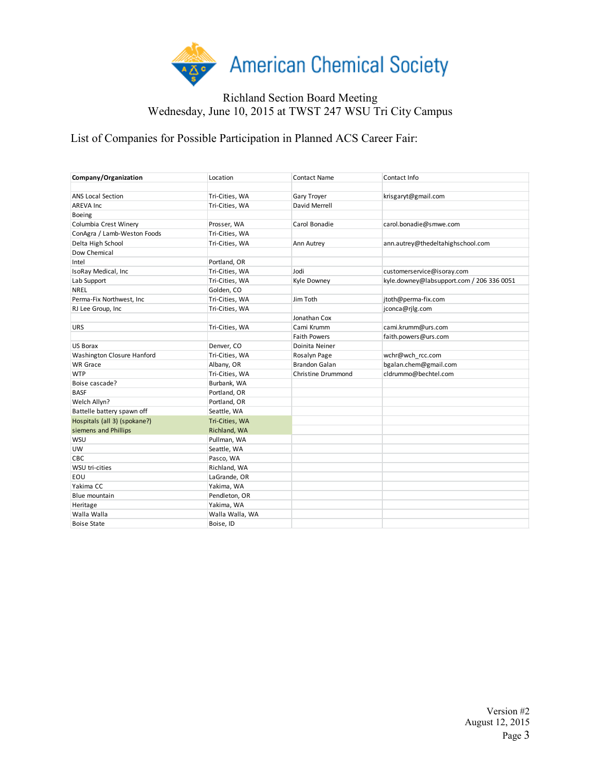

## Richland Section Board Meeting Wednesday, June 10, 2015 at TWST 247 WSU Tri City Campus

List of Companies for Possible Participation in Planned ACS Career Fair:

| Company/Organization         | Location        | Contact Name              | Contact Info                              |
|------------------------------|-----------------|---------------------------|-------------------------------------------|
| <b>ANS Local Section</b>     | Tri-Cities, WA  | Gary Troyer               | krisgaryt@gmail.com                       |
| <b>AREVA Inc</b>             | Tri-Cities, WA  | David Merrell             |                                           |
| Boeing                       |                 |                           |                                           |
| Columbia Crest Winery        | Prosser, WA     | Carol Bonadie             | carol.bonadie@smwe.com                    |
| ConAgra / Lamb-Weston Foods  | Tri-Cities, WA  |                           |                                           |
| Delta High School            | Tri-Cities, WA  | Ann Autrey                | ann.autrey@thedeltahighschool.com         |
| Dow Chemical                 |                 |                           |                                           |
| Intel                        | Portland, OR    |                           |                                           |
| IsoRay Medical, Inc          | Tri-Cities, WA  | Jodi                      | customerservice@isoray.com                |
| Lab Support                  | Tri-Cities, WA  | Kyle Downey               | kyle.downey@labsupport.com / 206 336 0051 |
| <b>NREL</b>                  | Golden, CO      |                           |                                           |
| Perma-Fix Northwest, Inc     | Tri-Cities, WA  | Jim Toth                  | jtoth@perma-fix.com                       |
| RJ Lee Group, Inc            | Tri-Cities, WA  |                           | jconca@rjlg.com                           |
|                              |                 | Jonathan Cox              |                                           |
| <b>URS</b>                   | Tri-Cities, WA  | Cami Krumm                | cami.krumm@urs.com                        |
|                              |                 | <b>Faith Powers</b>       | faith.powers@urs.com                      |
| <b>US Borax</b>              | Denver, CO      | Doinita Neiner            |                                           |
| Washington Closure Hanford   | Tri-Cities, WA  | Rosalyn Page              | wchr@wch rcc.com                          |
| <b>WR Grace</b>              | Albany, OR      | <b>Brandon Galan</b>      | bgalan.chem@gmail.com                     |
| <b>WTP</b>                   | Tri-Cities, WA  | <b>Christine Drummond</b> | cldrummo@bechtel.com                      |
| Boise cascade?               | Burbank, WA     |                           |                                           |
| <b>BASF</b>                  | Portland, OR    |                           |                                           |
| Welch Allyn?                 | Portland, OR    |                           |                                           |
| Battelle battery spawn off   | Seattle, WA     |                           |                                           |
| Hospitals (all 3) (spokane?) | Tri-Cities, WA  |                           |                                           |
| siemens and Phillips         | Richland, WA    |                           |                                           |
| WSU                          | Pullman, WA     |                           |                                           |
| UW                           | Seattle, WA     |                           |                                           |
| CBC                          | Pasco, WA       |                           |                                           |
| WSU tri-cities               | Richland, WA    |                           |                                           |
| EOU                          | LaGrande, OR    |                           |                                           |
| Yakima CC                    | Yakima, WA      |                           |                                           |
| Blue mountain                | Pendleton, OR   |                           |                                           |
| Heritage                     | Yakima, WA      |                           |                                           |
| Walla Walla                  | Walla Walla, WA |                           |                                           |
| <b>Boise State</b>           | Boise, ID       |                           |                                           |